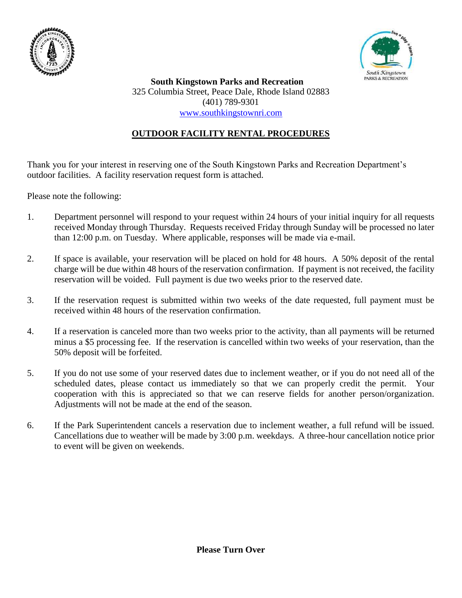



 **South Kingstown Parks and Recreation** 325 Columbia Street, Peace Dale, Rhode Island 02883 (401) 789-9301 [www.southkingstownri.com](http://www.southkingstownri.com/)

## **OUTDOOR FACILITY RENTAL PROCEDURES**

Thank you for your interest in reserving one of the South Kingstown Parks and Recreation Department's outdoor facilities. A facility reservation request form is attached.

Please note the following:

- 1. Department personnel will respond to your request within 24 hours of your initial inquiry for all requests received Monday through Thursday. Requests received Friday through Sunday will be processed no later than 12:00 p.m. on Tuesday. Where applicable, responses will be made via e-mail.
- 2. If space is available, your reservation will be placed on hold for 48 hours. A 50% deposit of the rental charge will be due within 48 hours of the reservation confirmation. If payment is not received, the facility reservation will be voided. Full payment is due two weeks prior to the reserved date.
- 3. If the reservation request is submitted within two weeks of the date requested, full payment must be received within 48 hours of the reservation confirmation.
- 4. If a reservation is canceled more than two weeks prior to the activity, than all payments will be returned minus a \$5 processing fee. If the reservation is cancelled within two weeks of your reservation, than the 50% deposit will be forfeited.
- 5. If you do not use some of your reserved dates due to inclement weather, or if you do not need all of the scheduled dates, please contact us immediately so that we can properly credit the permit. Your cooperation with this is appreciated so that we can reserve fields for another person/organization. Adjustments will not be made at the end of the season.
- 6. If the Park Superintendent cancels a reservation due to inclement weather, a full refund will be issued. Cancellations due to weather will be made by 3:00 p.m. weekdays. A three-hour cancellation notice prior to event will be given on weekends.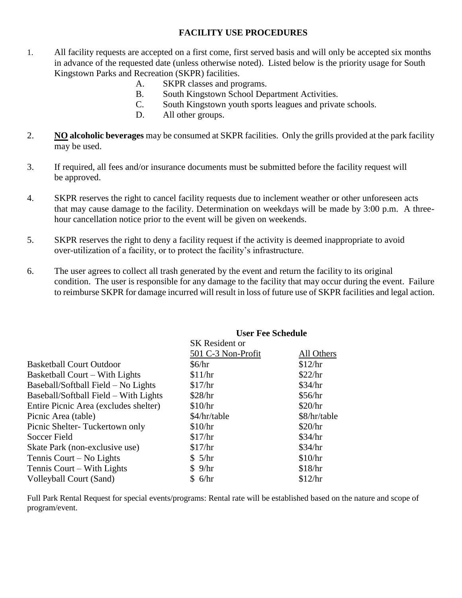## **FACILITY USE PROCEDURES**

- 1. All facility requests are accepted on a first come, first served basis and will only be accepted six months in advance of the requested date (unless otherwise noted). Listed below is the priority usage for South Kingstown Parks and Recreation (SKPR) facilities.
	- A. SKPR classes and programs.
	- B. South Kingstown School Department Activities.
	- C. South Kingstown youth sports leagues and private schools.
	- D. All other groups.
- 2. **NO alcoholic beverages** may be consumed at SKPR facilities. Only the grills provided at the park facility may be used.
- 3. If required, all fees and/or insurance documents must be submitted before the facility request will be approved.
- 4. SKPR reserves the right to cancel facility requests due to inclement weather or other unforeseen acts that may cause damage to the facility. Determination on weekdays will be made by 3:00 p.m. A threehour cancellation notice prior to the event will be given on weekends.
- 5. SKPR reserves the right to deny a facility request if the activity is deemed inappropriate to avoid over-utilization of a facility, or to protect the facility's infrastructure.
- 6. The user agrees to collect all trash generated by the event and return the facility to its original condition. The user is responsible for any damage to the facility that may occur during the event. Failure to reimburse SKPR for damage incurred will result in loss of future use of SKPR facilities and legal action.

|                                       | User ree Schedule     |              |  |
|---------------------------------------|-----------------------|--------------|--|
|                                       | <b>SK</b> Resident or |              |  |
|                                       | 501 C-3 Non-Profit    | All Others   |  |
| <b>Basketball Court Outdoor</b>       | \$6/hr                | \$12/hr      |  |
| <b>Basketball Court – With Lights</b> | \$11/hr               | \$22/hr      |  |
| Baseball/Softball Field – No Lights   | \$17/hr               | \$34/hr      |  |
| Baseball/Softball Field – With Lights | \$28/hr               | \$56/hr      |  |
| Entire Picnic Area (excludes shelter) | \$10/hr               | \$20/hr      |  |
| Picnic Area (table)                   | \$4/hr/table          | \$8/hr/table |  |
| Picnic Shelter-Tuckertown only        | \$10/hr               | \$20/hr      |  |
| Soccer Field                          | \$17/hr               | \$34/hr      |  |
| Skate Park (non-exclusive use)        | \$17/hr               | \$34/hr      |  |
| Tennis Court – No Lights              | \$5/hr                | \$10/hr      |  |
| Tennis Court – With Lights            | \$9/hr                | \$18/hr      |  |
| Volleyball Court (Sand)               | \$6/hr                | \$12/hr      |  |
|                                       |                       |              |  |

## **User Fee Schedule**

Full Park Rental Request for special events/programs: Rental rate will be established based on the nature and scope of program/event.